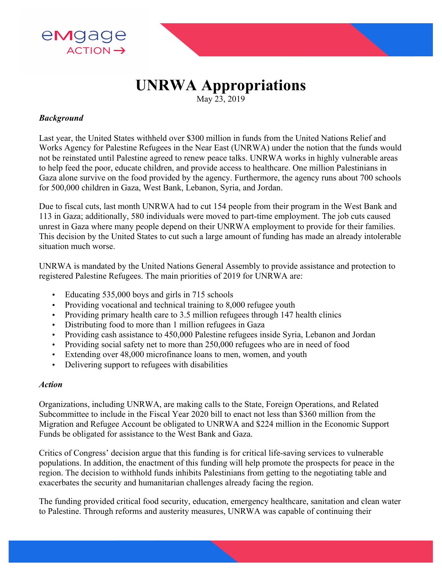

# **UNRWA Appropriations**

May 23, 2019

### *Background*

Last year, the United States withheld over \$300 million in funds from the United Nations Relief and Works Agency for Palestine Refugees in the Near East (UNRWA) under the notion that the funds would not be reinstated until Palestine agreed to renew peace talks. UNRWA works in highly vulnerable areas to help feed the poor, educate children, and provide access to healthcare. One million Palestinians in Gaza alone survive on the food provided by the agency. Furthermore, the agency runs about 700 schools for 500,000 children in Gaza, West Bank, Lebanon, Syria, and Jordan.

Due to fiscal cuts, last month UNRWA had to cut 154 people from their program in the West Bank and 113 in Gaza; additionally, 580 individuals were moved to part-time employment. The job cuts caused unrest in Gaza where many people depend on their UNRWA employment to provide for their families. This decision by the United States to cut such a large amount of funding has made an already intolerable situation much worse.

UNRWA is mandated by the United Nations General Assembly to provide assistance and protection to registered Palestine Refugees. The main priorities of 2019 for UNRWA are:

- Educating 535,000 boys and girls in 715 schools
- Providing vocational and technical training to 8,000 refugee youth
- Providing primary health care to 3.5 million refugees through 147 health clinics
- Distributing food to more than 1 million refugees in Gaza
- Providing cash assistance to 450,000 Palestine refugees inside Syria, Lebanon and Jordan
- Providing social safety net to more than 250,000 refugees who are in need of food
- Extending over 48,000 microfinance loans to men, women, and youth
- Delivering support to refugees with disabilities

#### *Action*

Organizations, including UNRWA, are making calls to the State, Foreign Operations, and Related Subcommittee to include in the Fiscal Year 2020 bill to enact not less than \$360 million from the Migration and Refugee Account be obligated to UNRWA and \$224 million in the Economic Support Funds be obligated for assistance to the West Bank and Gaza.

Critics of Congress' decision argue that this funding is for critical life-saving services to vulnerable populations. In addition, the enactment of this funding will help promote the prospects for peace in the region. The decision to withhold funds inhibits Palestinians from getting to the negotiating table and exacerbates the security and humanitarian challenges already facing the region.

The funding provided critical food security, education, emergency healthcare, sanitation and clean water to Palestine. Through reforms and austerity measures, UNRWA was capable of continuing their